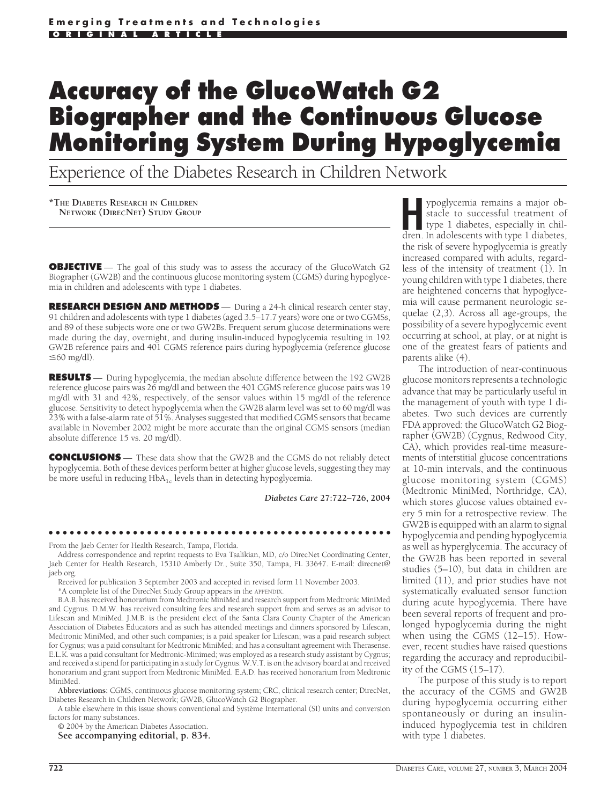# **Accuracy of the GlucoWatch G2 Biographer and the Continuous Glucose Monitoring System During Hypoglycemia**

Experience of the Diabetes Research in Children Network

**\*THE DIABETES RESEARCH IN CHILDREN NETWORK (DIRECNET) STUDY GROUP**

**OBJECTIVE** — The goal of this study was to assess the accuracy of the GlucoWatch G2 Biographer (GW2B) and the continuous glucose monitoring system (CGMS) during hypoglycemia in children and adolescents with type 1 diabetes.

**RESEARCH DESIGN AND METHODS** — During a 24-h clinical research center stay, 91 children and adolescents with type 1 diabetes (aged 3.5–17.7 years) wore one or two CGMSs, and 89 of these subjects wore one or two GW2Bs. Frequent serum glucose determinations were made during the day, overnight, and during insulin-induced hypoglycemia resulting in 192 GW2B reference pairs and 401 CGMS reference pairs during hypoglycemia (reference glucose  $\leq 60$  mg/dl).

**RESULTS** — During hypoglycemia, the median absolute difference between the 192 GW2B reference glucose pairs was 26 mg/dl and between the 401 CGMS reference glucose pairs was 19 mg/dl with 31 and 42%, respectively, of the sensor values within 15 mg/dl of the reference glucose. Sensitivity to detect hypoglycemia when the GW2B alarm level was set to 60 mg/dl was 23% with a false-alarm rate of 51%. Analyses suggested that modified CGMS sensors that became available in November 2002 might be more accurate than the original CGMS sensors (median absolute difference 15 vs. 20 mg/dl).

**CONCLUSIONS** — These data show that the GW2B and the CGMS do not reliably detect hypoglycemia. Both of these devices perform better at higher glucose levels, suggesting they may be more useful in reducing  $HbA_{1c}$  levels than in detecting hypoglycemia.

*Diabetes Care* **27:722–726, 2004**

●●●●●●●●●●●●●●●●●●●●●●●●●●●●●●●●●●●●●●●●●●●●●●●●●

From the Jaeb Center for Health Research, Tampa, Florida.

Address correspondence and reprint requests to Eva Tsalikian, MD, c/o DirecNet Coordinating Center, Jaeb Center for Health Research, 15310 Amberly Dr., Suite 350, Tampa, FL 33647. E-mail: direcnet@ jaeb.org.

Received for publication 3 September 2003 and accepted in revised form 11 November 2003.

\*A complete list of the DirecNet Study Group appears in the APPENDIX.

B.A.B. has received honorarium from Medtronic MiniMed and research support from Medtronic MiniMed and Cygnus. D.M.W. has received consulting fees and research support from and serves as an advisor to Lifescan and MiniMed. J.M.B. is the president elect of the Santa Clara County Chapter of the American Association of Diabetes Educators and as such has attended meetings and dinners sponsored by Lifescan, Medtronic MiniMed, and other such companies; is a paid speaker for Lifescan; was a paid research subject for Cygnus; was a paid consultant for Medtronic MiniMed; and has a consultant agreement with Therasense. E.L.K. was a paid consultant for Medtronic-Minimed; was employed as a research study assistant by Cygnus; and received a stipend for participating in a study for Cygnus. W.V.T. is on the advisory board at and received honorarium and grant support from Medtronic MiniMed. E.A.D. has received honorarium from Medtronic MiniMed.

**Abbreviations:** CGMS, continuous glucose monitoring system; CRC, clinical research center; DirecNet, Diabetes Research in Children Network; GW2B, GlucoWatch G2 Biographer.

A table elsewhere in this issue shows conventional and Système International (SI) units and conversion factors for many substances.

© 2004 by the American Diabetes Association.

**See accompanying editorial, p. 834.**

**Hypoglycemia remains a major ob-**<br>stacle to successful treatment of<br>type 1 diabetes, especially in chil-<br>dren In adolescents with type 1 diabetes stacle to successful treatment of dren. In adolescents with type 1 diabetes, the risk of severe hypoglycemia is greatly increased compared with adults, regardless of the intensity of treatment (1). In young children with type 1 diabetes, there are heightened concerns that hypoglycemia will cause permanent neurologic sequelae (2,3). Across all age-groups, the possibility of a severe hypoglycemic event occurring at school, at play, or at night is one of the greatest fears of patients and parents alike (4).

The introduction of near-continuous glucose monitors represents a technologic advance that may be particularly useful in the management of youth with type 1 diabetes. Two such devices are currently FDA approved: the GlucoWatch G2 Biographer (GW2B) (Cygnus, Redwood City, CA), which provides real-time measurements of interstitial glucose concentrations at 10-min intervals, and the continuous glucose monitoring system (CGMS) (Medtronic MiniMed, Northridge, CA), which stores glucose values obtained every 5 min for a retrospective review. The GW2B is equipped with an alarm to signal hypoglycemia and pending hypoglycemia as well as hyperglycemia. The accuracy of the GW2B has been reported in several studies (5–10), but data in children are limited (11), and prior studies have not systematically evaluated sensor function during acute hypoglycemia. There have been several reports of frequent and prolonged hypoglycemia during the night when using the CGMS (12–15). However, recent studies have raised questions regarding the accuracy and reproducibility of the CGMS (15–17).

The purpose of this study is to report the accuracy of the CGMS and GW2B during hypoglycemia occurring either spontaneously or during an insulininduced hypoglycemia test in children with type 1 diabetes.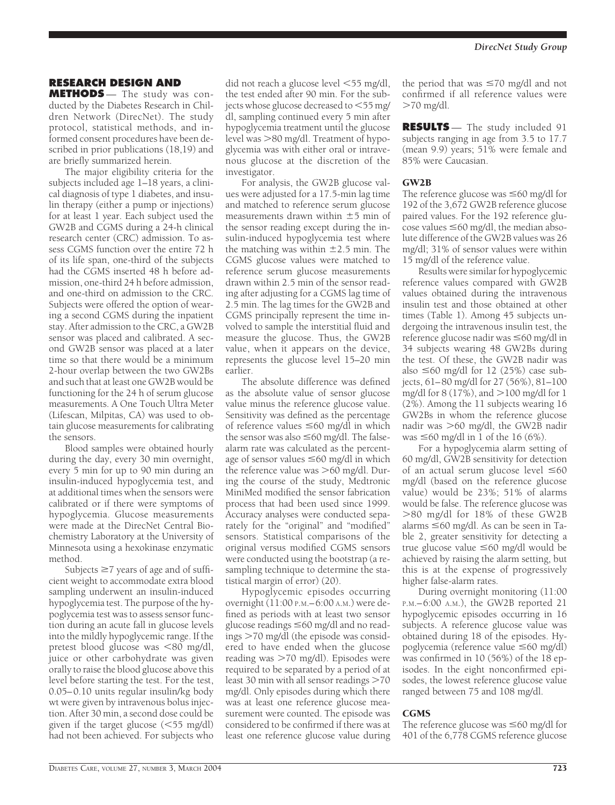# **RESEARCH DESIGN AND**

**METHODS** — The study was conducted by the Diabetes Research in Children Network (DirecNet). The study protocol, statistical methods, and informed consent procedures have been described in prior publications (18,19) and are briefly summarized herein.

The major eligibility criteria for the subjects included age 1–18 years, a clinical diagnosis of type 1 diabetes, and insulin therapy (either a pump or injections) for at least 1 year. Each subject used the GW2B and CGMS during a 24-h clinical research center (CRC) admission. To assess CGMS function over the entire 72 h of its life span, one-third of the subjects had the CGMS inserted 48 h before admission, one-third 24 h before admission, and one-third on admission to the CRC. Subjects were offered the option of wearing a second CGMS during the inpatient stay. After admission to the CRC, a GW2B sensor was placed and calibrated. A second GW2B sensor was placed at a later time so that there would be a minimum 2-hour overlap between the two GW2Bs and such that at least one GW2B would be functioning for the 24 h of serum glucose measurements. A One Touch Ultra Meter (Lifescan, Milpitas, CA) was used to obtain glucose measurements for calibrating the sensors.

Blood samples were obtained hourly during the day, every 30 min overnight, every 5 min for up to 90 min during an insulin-induced hypoglycemia test, and at additional times when the sensors were calibrated or if there were symptoms of hypoglycemia. Glucose measurements were made at the DirecNet Central Biochemistry Laboratory at the University of Minnesota using a hexokinase enzymatic method.

Subjects  $\geq 7$  years of age and of sufficient weight to accommodate extra blood sampling underwent an insulin-induced hypoglycemia test. The purpose of the hypoglycemia test was to assess sensor function during an acute fall in glucose levels into the mildly hypoglycemic range. If the pretest blood glucose was  $<80$  mg/dl, juice or other carbohydrate was given orally to raise the blood glucose above this level before starting the test. For the test, 0.05–0.10 units regular insulin/kg body wt were given by intravenous bolus injection. After 30 min, a second dose could be given if the target glucose  $(<55$  mg/dl) had not been achieved. For subjects who

did not reach a glucose level <55 mg/dl, the test ended after 90 min. For the subjects whose glucose decreased to  $<$  55 mg/ dl, sampling continued every 5 min after hypoglycemia treatment until the glucose level was -80 mg/dl. Treatment of hypoglycemia was with either oral or intravenous glucose at the discretion of the investigator.

For analysis, the GW2B glucose values were adjusted for a 17.5-min lag time and matched to reference serum glucose measurements drawn within  $\pm$ 5 min of the sensor reading except during the insulin-induced hypoglycemia test where the matching was within  $\pm$ 2.5 min. The CGMS glucose values were matched to reference serum glucose measurements drawn within 2.5 min of the sensor reading after adjusting for a CGMS lag time of 2.5 min. The lag times for the GW2B and CGMS principally represent the time involved to sample the interstitial fluid and measure the glucose. Thus, the GW2B value, when it appears on the device, represents the glucose level 15–20 min earlier.

The absolute difference was defined as the absolute value of sensor glucose value minus the reference glucose value. Sensitivity was defined as the percentage of reference values  $\leq 60$  mg/dl in which the sensor was also  $\leq 60$  mg/dl. The falsealarm rate was calculated as the percentage of sensor values  $\leq 60$  mg/dl in which the reference value was >60 mg/dl. During the course of the study, Medtronic MiniMed modified the sensor fabrication process that had been used since 1999. Accuracy analyses were conducted separately for the "original" and "modified" sensors. Statistical comparisons of the original versus modified CGMS sensors were conducted using the bootstrap (a resampling technique to determine the statistical margin of error) (20).

Hypoglycemic episodes occurring overnight (11:00 P.M.–6:00 A.M.) were defined as periods with at least two sensor glucose readings  $\leq 60$  mg/dl and no readings -70 mg/dl (the episode was considered to have ended when the glucose reading was  $>$ 70 mg/dl). Episodes were required to be separated by a period of at least 30 min with all sensor readings  $>$  70  $\,$ mg/dl. Only episodes during which there was at least one reference glucose measurement were counted. The episode was considered to be confirmed if there was at least one reference glucose value during the period that was  $\leq 70$  mg/dl and not confirmed if all reference values were -70 mg/dl.

**RESULTS** — The study included 91 subjects ranging in age from 3.5 to 17.7 (mean 9.9) years; 51% were female and 85% were Caucasian.

#### GW2B

The reference glucose was  $\leq 60$  mg/dl for 192 of the 3,672 GW2B reference glucose paired values. For the 192 reference glu- $\cos$  values  $\leq$  60 mg/dl, the median absolute difference of the GW2B values was 26 mg/dl; 31% of sensor values were within 15 mg/dl of the reference value.

Results were similar for hypoglycemic reference values compared with GW2B values obtained during the intravenous insulin test and those obtained at other times (Table 1). Among 45 subjects undergoing the intravenous insulin test, the reference glucose nadir was  $\leq 60$  mg/dl in 34 subjects wearing 48 GW2Bs during the test. Of these, the GW2B nadir was also  $\leq 60$  mg/dl for 12 (25%) case subjects, 61–80 mg/dl for 27 (56%), 81–100 mg/dl for 8 (17%), and >100 mg/dl for 1 (2%). Among the 11 subjects wearing 16 GW2Bs in whom the reference glucose nadir was -60 mg/dl, the GW2B nadir was  $\leq 60$  mg/dl in 1 of the 16 (6%).

For a hypoglycemia alarm setting of 60 mg/dl, GW2B sensitivity for detection of an actual serum glucose level  $\leq 60$ mg/dl (based on the reference glucose value) would be 23%; 51% of alarms would be false. The reference glucose was -80 mg/dl for 18% of these GW2B alarms  $\leq 60$  mg/dl. As can be seen in Table 2, greater sensitivity for detecting a true glucose value  $\leq 60$  mg/dl would be achieved by raising the alarm setting, but this is at the expense of progressively higher false-alarm rates.

During overnight monitoring (11:00 P.M.–6:00 A.M.), the GW2B reported 21 hypoglycemic episodes occurring in 16 subjects. A reference glucose value was obtained during 18 of the episodes. Hypoglycemia (reference value  $\leq 60$  mg/dl) was confirmed in 10 (56%) of the 18 episodes. In the eight nonconfirmed episodes, the lowest reference glucose value ranged between 75 and 108 mg/dl.

## CGMS

The reference glucose was  $\leq 60$  mg/dl for 401 of the 6,778 CGMS reference glucose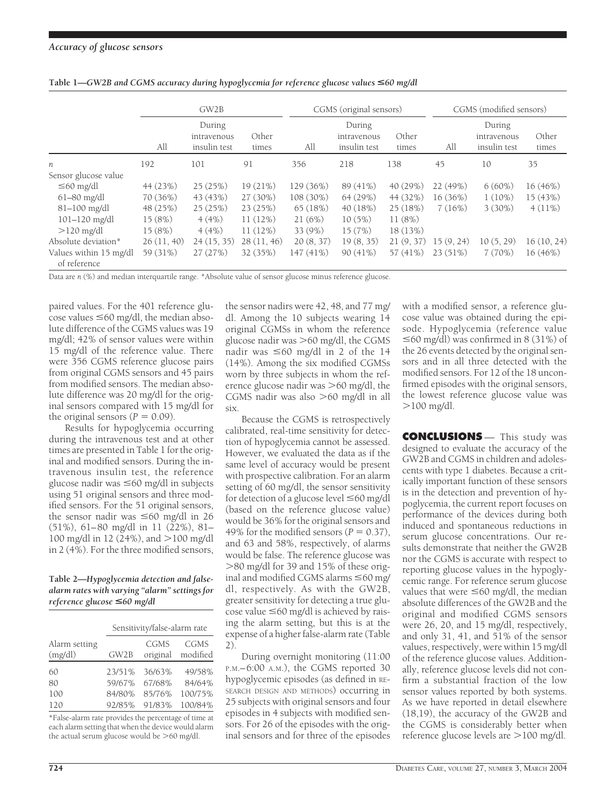|                                        | GW2B       |                                       |                | CGMS (original sensors) |                                       |                | CGMS (modified sensors) |                                       |                |
|----------------------------------------|------------|---------------------------------------|----------------|-------------------------|---------------------------------------|----------------|-------------------------|---------------------------------------|----------------|
|                                        | All        | During<br>intravenous<br>insulin test | Other<br>times | All                     | During<br>intravenous<br>insulin test | Other<br>times | All                     | During<br>intravenous<br>insulin test | Other<br>times |
| n                                      | 192        | 101                                   | 91             | 356                     | 218                                   | 138            | 45                      | 10                                    | 35             |
| Sensor glucose value                   |            |                                       |                |                         |                                       |                |                         |                                       |                |
| $\leq 60$ mg/dl                        | 44 (23%)   | 25(25%)                               | 19 (21%)       | 129 (36%)               | 89 (41%)                              | 40 (29%)       | 22 (49%)                | $6(60\%)$                             | 16 (46%)       |
| $61-80$ mg/dl                          | 70 (36%)   | 43 (43%)                              | 27 (30%)       | 108 (30%)               | 64(29%)                               | 44 (32%)       | 16 (36%)                | $1(10\%)$                             | 15 (43%)       |
| $81 - 100$ mg/dl                       | 48 (25%)   | 25(25%)                               | 23(25%)        | 65(18%)                 | 40 (18%)                              | 25(18%)        | 7(16%)                  | 3(30%)                                | $4(11\%)$      |
| $101 - 120$ mg/dl                      | 15 (8%)    | 4(4%)                                 | 11(12%)        | 21(6%)                  | 10(5%)                                | 11(8%)         |                         |                                       |                |
| $>120$ mg/dl                           | 15 (8%)    | 4(4%)                                 | 11(12%)        | 33 (9%)                 | 15(7%)                                | 18 (13%)       |                         |                                       |                |
| Absolute deviation*                    | 26(11, 40) | 24(15, 35)                            | 28(11, 46)     | 20(8, 37)               | 19(8, 35)                             | 21(9, 37)      | 15(9, 24)               | 10(5, 29)                             | 16(10, 24)     |
| Values within 15 mg/dl<br>of reference | 59 (31%)   | 27(27%)                               | 32 (35%)       | $147(41\%)$             | 90(41%)                               | 57 (41%)       | 23(51%)                 | 7(70%)                                | 16(46%)        |

**Table 1—***GW2B and CGMS accuracy during hypoglycemia for reference glucose values* <*60 mg/dl*

Data are *n* (%) and median interquartile range. \*Absolute value of sensor glucose minus reference glucose.

paired values. For the 401 reference glu- $\cos$ e values  $\leq 60$  mg/dl, the median absolute difference of the CGMS values was 19 mg/dl; 42% of sensor values were within 15 mg/dl of the reference value. There were 356 CGMS reference glucose pairs from original CGMS sensors and 45 pairs from modified sensors. The median absolute difference was 20 mg/dl for the original sensors compared with 15 mg/dl for the original sensors ( $P = 0.09$ ).

Results for hypoglycemia occurring during the intravenous test and at other times are presented in Table 1 for the original and modified sensors. During the intravenous insulin test, the reference glucose nadir was  $\leq 60$  mg/dl in subjects using 51 original sensors and three modified sensors. For the 51 original sensors, the sensor nadir was  $\leq 60$  mg/dl in 26 (51%), 61–80 mg/dl in 11 (22%), 81– 100 mg/dl in 12 (24%), and >100 mg/dl in 2 (4%). For the three modified sensors,

## **Table 2—***Hypoglycemia detection and falsealarm rates with varying "alarm" settings for reference glucose* <*60 mg/dl*

|                          | Sensitivity/false-alarm rate |                  |                  |  |  |  |
|--------------------------|------------------------------|------------------|------------------|--|--|--|
| Alarm setting<br>(mg/dl) | GW2B                         | CGMS<br>original | CGMS<br>modified |  |  |  |
| 60                       | 23/51%                       | 36/63%           | 49/58%           |  |  |  |
| 80                       | 59/67%                       | 67/68%           | 84/64%           |  |  |  |
| 100                      | 84/80%                       | 85/76%           | 100/75%          |  |  |  |
| 120                      | 92/85%                       | 91/83%           | 100/84%          |  |  |  |

\*False-alarm rate provides the percentage of time at each alarm setting that when the device would alarm the actual serum glucose would be >60 mg/dl.

the sensor nadirs were 42, 48, and 77 mg/ dl. Among the 10 subjects wearing 14 original CGMSs in whom the reference glucose nadir was >60 mg/dl, the CGMS nadir was  $\leq 60$  mg/dl in 2 of the 14 (14%). Among the six modified CGMSs worn by three subjects in whom the reference glucose nadir was >60 mg/dl, the CGMS nadir was also >60 mg/dl in all six.

Because the CGMS is retrospectively calibrated, real-time sensitivity for detection of hypoglycemia cannot be assessed. However, we evaluated the data as if the same level of accuracy would be present with prospective calibration. For an alarm setting of 60 mg/dl, the sensor sensitivity for detection of a glucose level  $\leq 60$  mg/dl (based on the reference glucose value) would be 36% for the original sensors and 49% for the modified sensors  $(P = 0.37)$ , and 63 and 58%, respectively, of alarms would be false. The reference glucose was -80 mg/dl for 39 and 15% of these original and modified CGMS alarms  $\leq 60$  mg/ dl, respectively. As with the GW2B, greater sensitivity for detecting a true glucose value  $\leq 60$  mg/dl is achieved by raising the alarm setting, but this is at the expense of a higher false-alarm rate (Table 2).

During overnight monitoring (11:00 P.M.–6:00 A.M.), the CGMS reported 30 hypoglycemic episodes (as defined in RE-SEARCH DESIGN AND METHODS) occurring in 25 subjects with original sensors and four episodes in 4 subjects with modified sensors. For 26 of the episodes with the original sensors and for three of the episodes with a modified sensor, a reference glucose value was obtained during the episode. Hypoglycemia (reference value  $\leq 60$  mg/dl) was confirmed in 8 (31%) of the 26 events detected by the original sensors and in all three detected with the modified sensors. For 12 of the 18 unconfirmed episodes with the original sensors, the lowest reference glucose value was -100 mg/dl.

**CONCLUSIONS** — This study was designed to evaluate the accuracy of the GW2B and CGMS in children and adolescents with type 1 diabetes. Because a critically important function of these sensors is in the detection and prevention of hypoglycemia, the current report focuses on performance of the devices during both induced and spontaneous reductions in serum glucose concentrations. Our results demonstrate that neither the GW2B nor the CGMS is accurate with respect to reporting glucose values in the hypoglycemic range. For reference serum glucose values that were  $\leq 60$  mg/dl, the median absolute differences of the GW2B and the original and modified CGMS sensors were 26, 20, and 15 mg/dl, respectively, and only 31, 41, and 51% of the sensor values, respectively, were within 15 mg/dl of the reference glucose values. Additionally, reference glucose levels did not confirm a substantial fraction of the low sensor values reported by both systems. As we have reported in detail elsewhere (18,19), the accuracy of the GW2B and the CGMS is considerably better when reference glucose levels are >100 mg/dl.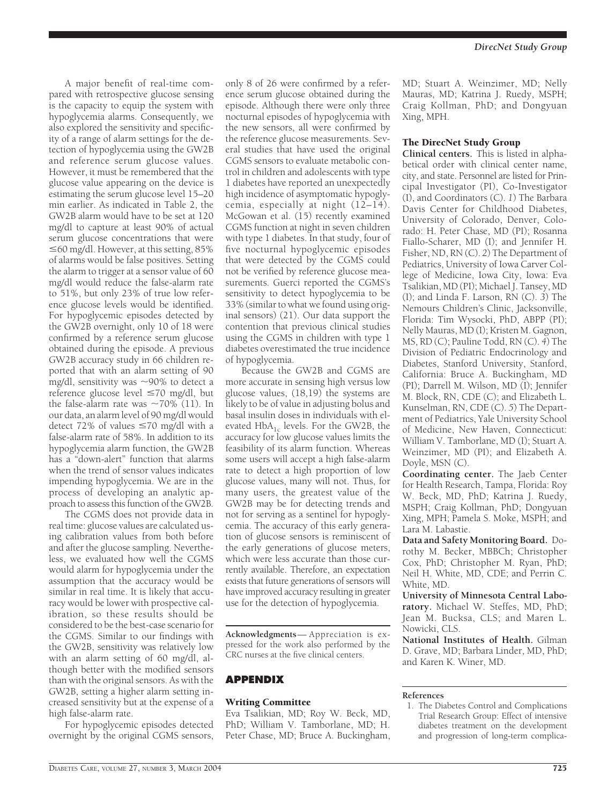A major benefit of real-time compared with retrospective glucose sensing is the capacity to equip the system with hypoglycemia alarms. Consequently, we also explored the sensitivity and specificity of a range of alarm settings for the detection of hypoglycemia using the GW2B and reference serum glucose values. However, it must be remembered that the glucose value appearing on the device is estimating the serum glucose level 15–20 min earlier. As indicated in Table 2, the GW2B alarm would have to be set at 120 mg/dl to capture at least 90% of actual serum glucose concentrations that were  $\leq$  60 mg/dl. However, at this setting, 85% of alarms would be false positives. Setting the alarm to trigger at a sensor value of 60 mg/dl would reduce the false-alarm rate to 51%, but only 23% of true low reference glucose levels would be identified. For hypoglycemic episodes detected by the GW2B overnight, only 10 of 18 were confirmed by a reference serum glucose obtained during the episode. A previous GW2B accuracy study in 66 children reported that with an alarm setting of 90 mg/dl, sensitivity was  $\sim$ 90% to detect a reference glucose level  $\leq 70$  mg/dl, but the false-alarm rate was  $\sim 70\%$  (11). In our data, an alarm level of 90 mg/dl would detect 72% of values  $\leq 70$  mg/dl with a false-alarm rate of 58%. In addition to its hypoglycemia alarm function, the GW2B has a "down-alert" function that alarms when the trend of sensor values indicates impending hypoglycemia. We are in the process of developing an analytic approach to assess this function of the GW2B.

The CGMS does not provide data in real time: glucose values are calculated using calibration values from both before and after the glucose sampling. Nevertheless, we evaluated how well the CGMS would alarm for hypoglycemia under the assumption that the accuracy would be similar in real time. It is likely that accuracy would be lower with prospective calibration, so these results should be considered to be the best-case scenario for the CGMS. Similar to our findings with the GW2B, sensitivity was relatively low with an alarm setting of 60 mg/dl, although better with the modified sensors than with the original sensors. As with the GW2B, setting a higher alarm setting increased sensitivity but at the expense of a high false-alarm rate.

For hypoglycemic episodes detected overnight by the original CGMS sensors,

only 8 of 26 were confirmed by a reference serum glucose obtained during the episode. Although there were only three nocturnal episodes of hypoglycemia with the new sensors, all were confirmed by the reference glucose measurements. Several studies that have used the original CGMS sensors to evaluate metabolic control in children and adolescents with type 1 diabetes have reported an unexpectedly high incidence of asymptomatic hypoglycemia, especially at night (12–14). McGowan et al. (15) recently examined CGMS function at night in seven children with type 1 diabetes. In that study, four of five nocturnal hypoglycemic episodes that were detected by the CGMS could not be verified by reference glucose measurements. Guerci reported the CGMS's sensitivity to detect hypoglycemia to be 33% (similar to what we found using original sensors) (21). Our data support the contention that previous clinical studies using the CGMS in children with type 1 diabetes overestimated the true incidence of hypoglycemia.

Because the GW2B and CGMS are more accurate in sensing high versus low glucose values, (18,19) the systems are likely to be of value in adjusting bolus and basal insulin doses in individuals with elevated  $HbA_{1c}$  levels. For the GW2B, the accuracy for low glucose values limits the feasibility of its alarm function. Whereas some users will accept a high false-alarm rate to detect a high proportion of low glucose values, many will not. Thus, for many users, the greatest value of the GW2B may be for detecting trends and not for serving as a sentinel for hypoglycemia. The accuracy of this early generation of glucose sensors is reminiscent of the early generations of glucose meters, which were less accurate than those currently available. Therefore, an expectation exists that future generations of sensors will have improved accuracy resulting in greater use for the detection of hypoglycemia.

**Acknowledgments**— Appreciation is expressed for the work also performed by the CRC nurses at the five clinical centers.

# **APPENDIX**

## Writing Committee

Eva Tsalikian, MD; Roy W. Beck, MD, PhD; William V. Tamborlane, MD; H. Peter Chase, MD; Bruce A. Buckingham,

MD; Stuart A. Weinzimer, MD; Nelly Mauras, MD; Katrina J. Ruedy, MSPH; Craig Kollman, PhD; and Dongyuan Xing, MPH.

### The DirecNet Study Group

**Clinical centers.** This is listed in alphabetical order with clinical center name, city, and state. Personnel are listed for Principal Investigator (PI), Co-Investigator (I), and Coordinators (C). *1*) The Barbara Davis Center for Childhood Diabetes, University of Colorado, Denver, Colorado: H. Peter Chase, MD (PI); Rosanna Fiallo-Scharer, MD (I); and Jennifer H. Fisher, ND, RN (C). *2*) The Department of Pediatrics, University of Iowa Carver College of Medicine, Iowa City, Iowa: Eva Tsalikian, MD (PI); Michael J. Tansey, MD (I); and Linda F. Larson, RN (C). *3*) The Nemours Children's Clinic, Jacksonville, Florida: Tim Wysocki, PhD, ABPP (PI); Nelly Mauras, MD (I); Kristen M. Gagnon, MS, RD (C); Pauline Todd, RN (C). *4*) The Division of Pediatric Endocrinology and Diabetes, Stanford University, Stanford, California: Bruce A. Buckingham, MD (PI); Darrell M. Wilson, MD (I); Jennifer M. Block, RN, CDE (C); and Elizabeth L. Kunselman, RN, CDE (C). *5*) The Department of Pediatrics, Yale University School of Medicine, New Haven, Connecticut: William V. Tamborlane, MD (I); Stuart A. Weinzimer, MD (PI); and Elizabeth A. Doyle, MSN (C).

**Coordinating center.** The Jaeb Center for Health Research, Tampa, Florida: Roy W. Beck, MD, PhD; Katrina J. Ruedy, MSPH; Craig Kollman, PhD; Dongyuan Xing, MPH; Pamela S. Moke, MSPH; and Lara M. Labastie.

**Data and Safety Monitoring Board.** Dorothy M. Becker, MBBCh; Christopher Cox, PhD; Christopher M. Ryan, PhD; Neil H. White, MD, CDE; and Perrin C. White, MD.

**University of Minnesota Central Laboratory.** Michael W. Steffes, MD, PhD; Jean M. Bucksa, CLS; and Maren L. Nowicki, CLS.

**National Institutes of Health.** Gilman D. Grave, MD; Barbara Linder, MD, PhD; and Karen K. Winer, MD.

#### **References**

1. The Diabetes Control and Complications Trial Research Group: Effect of intensive diabetes treatment on the development and progression of long-term complica